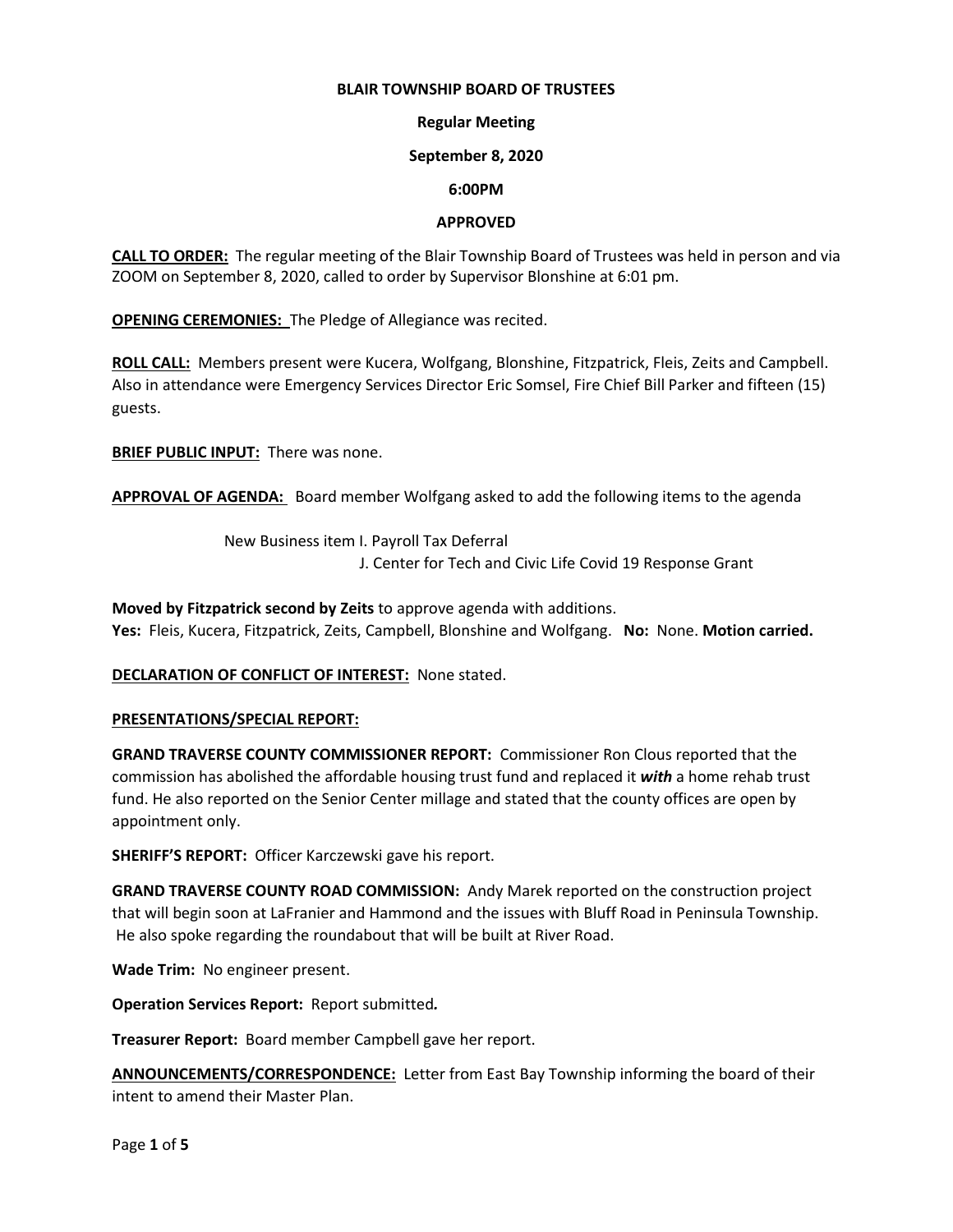### **BLAIR TOWNSHIP BOARD OF TRUSTEES**

# **Regular Meeting**

### **September 8, 2020**

# **6:00PM**

# **APPROVED**

**CALL TO ORDER:** The regular meeting of the Blair Township Board of Trustees was held in person and via ZOOM on September 8, 2020, called to order by Supervisor Blonshine at 6:01 pm.

**OPENING CEREMONIES:** The Pledge of Allegiance was recited.

**ROLL CALL:** Members present were Kucera, Wolfgang, Blonshine, Fitzpatrick, Fleis, Zeits and Campbell. Also in attendance were Emergency Services Director Eric Somsel, Fire Chief Bill Parker and fifteen (15) guests.

**BRIEF PUBLIC INPUT:** There was none.

**APPROVAL OF AGENDA:** Board member Wolfgang asked to add the following items to the agenda

New Business item I. Payroll Tax Deferral J. Center for Tech and Civic Life Covid 19 Response Grant

**Moved by Fitzpatrick second by Zeits** to approve agenda with additions. **Yes:** Fleis, Kucera, Fitzpatrick, Zeits, Campbell, Blonshine and Wolfgang. **No:** None. **Motion carried.**

# **DECLARATION OF CONFLICT OF INTEREST:** None stated.

# **PRESENTATIONS/SPECIAL REPORT:**

**GRAND TRAVERSE COUNTY COMMISSIONER REPORT:** Commissioner Ron Clous reported that the commission has abolished the affordable housing trust fund and replaced it *with* a home rehab trust fund. He also reported on the Senior Center millage and stated that the county offices are open by appointment only.

**SHERIFF'S REPORT:** Officer Karczewski gave his report.

**GRAND TRAVERSE COUNTY ROAD COMMISSION:** Andy Marek reported on the construction project that will begin soon at LaFranier and Hammond and the issues with Bluff Road in Peninsula Township. He also spoke regarding the roundabout that will be built at River Road.

**Wade Trim:** No engineer present.

**Operation Services Report:** Report submitted*.*

**Treasurer Report:** Board member Campbell gave her report.

**ANNOUNCEMENTS/CORRESPONDENCE:** Letter from East Bay Township informing the board of their intent to amend their Master Plan.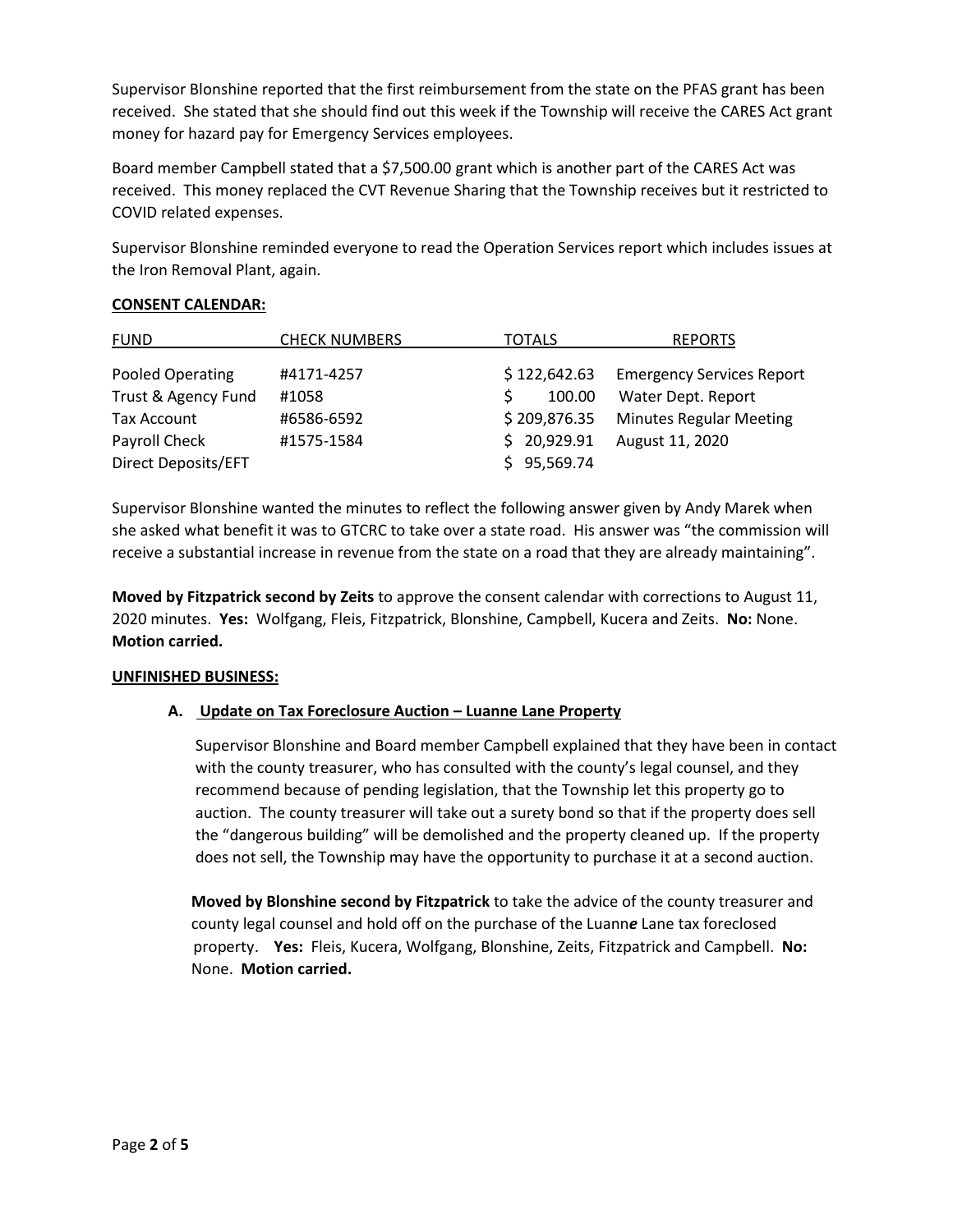Supervisor Blonshine reported that the first reimbursement from the state on the PFAS grant has been received. She stated that she should find out this week if the Township will receive the CARES Act grant money for hazard pay for Emergency Services employees.

Board member Campbell stated that a \$7,500.00 grant which is another part of the CARES Act was received. This money replaced the CVT Revenue Sharing that the Township receives but it restricted to COVID related expenses.

Supervisor Blonshine reminded everyone to read the Operation Services report which includes issues at the Iron Removal Plant, again.

# **CONSENT CALENDAR:**

| <b>FUND</b>         | <b>CHECK NUMBERS</b> | <b>TOTALS</b>          | <b>REPORTS</b>                   |
|---------------------|----------------------|------------------------|----------------------------------|
| Pooled Operating    | #4171-4257           | \$122,642.63           | <b>Emergency Services Report</b> |
| Trust & Agency Fund | #1058                | 100.00<br><sup>S</sup> | Water Dept. Report               |
| Tax Account         | #6586-6592           | \$209,876.35           | <b>Minutes Regular Meeting</b>   |
| Payroll Check       | #1575-1584           | \$20,929.91            | August 11, 2020                  |
| Direct Deposits/EFT |                      | \$95,569.74            |                                  |

Supervisor Blonshine wanted the minutes to reflect the following answer given by Andy Marek when she asked what benefit it was to GTCRC to take over a state road. His answer was "the commission will receive a substantial increase in revenue from the state on a road that they are already maintaining".

**Moved by Fitzpatrick second by Zeits** to approve the consent calendar with corrections to August 11, 2020 minutes. **Yes:** Wolfgang, Fleis, Fitzpatrick, Blonshine, Campbell, Kucera and Zeits. **No:** None. **Motion carried.**

# **UNFINISHED BUSINESS:**

# **A. Update on Tax Foreclosure Auction – Luanne Lane Property**

 Supervisor Blonshine and Board member Campbell explained that they have been in contact with the county treasurer, who has consulted with the county's legal counsel, and they recommend because of pending legislation, that the Township let this property go to auction. The county treasurer will take out a surety bond so that if the property does sell the "dangerous building" will be demolished and the property cleaned up. If the property does not sell, the Township may have the opportunity to purchase it at a second auction.

 **Moved by Blonshine second by Fitzpatrick** to take the advice of the county treasurer and county legal counsel and hold off on the purchase of the Luann*e* Lane tax foreclosed property. **Yes:** Fleis, Kucera, Wolfgang, Blonshine, Zeits, Fitzpatrick and Campbell. **No:** None. **Motion carried.**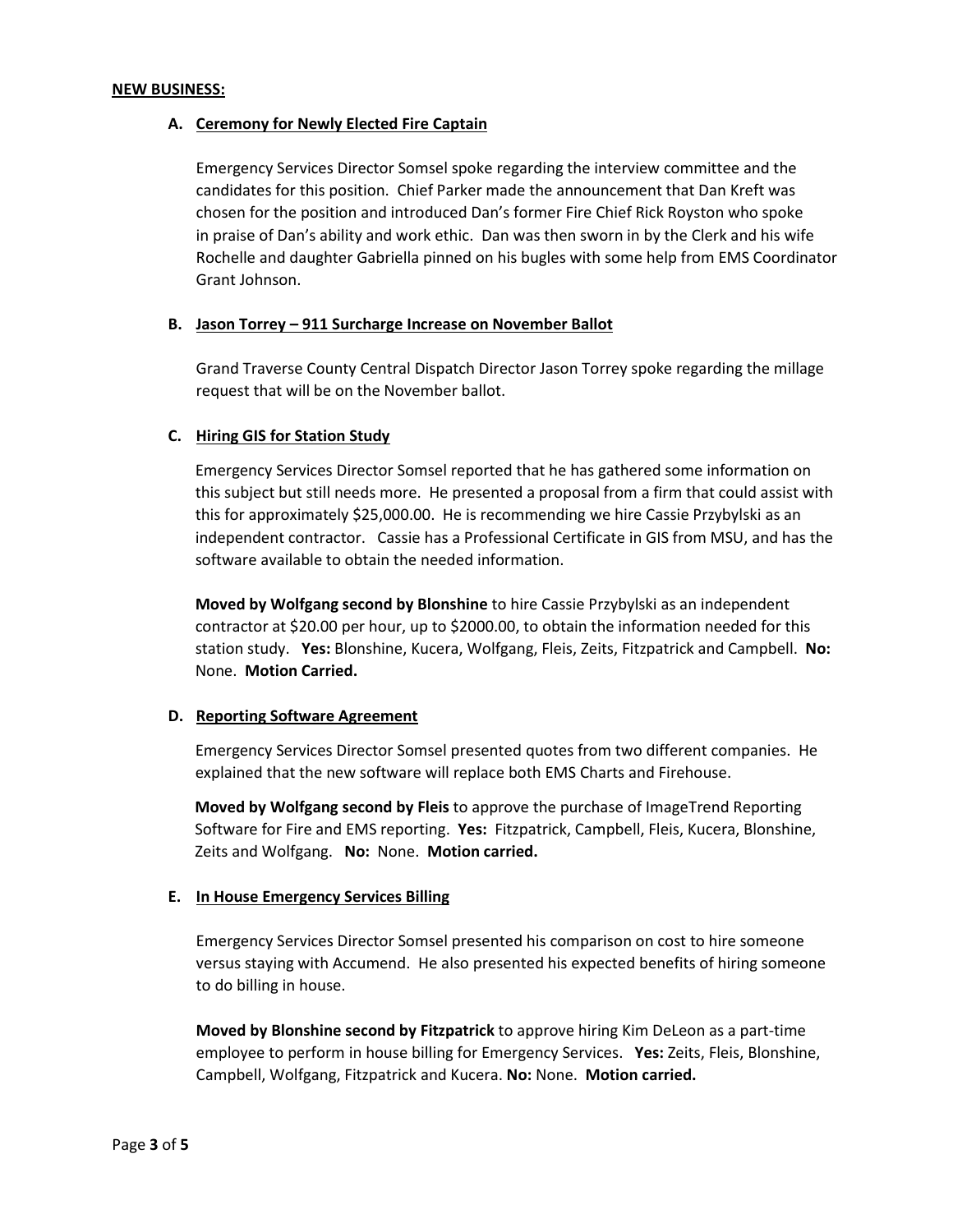#### **NEW BUSINESS:**

### **A. Ceremony for Newly Elected Fire Captain**

Emergency Services Director Somsel spoke regarding the interview committee and the candidates for this position. Chief Parker made the announcement that Dan Kreft was chosen for the position and introduced Dan's former Fire Chief Rick Royston who spoke in praise of Dan's ability and work ethic. Dan was then sworn in by the Clerk and his wife Rochelle and daughter Gabriella pinned on his bugles with some help from EMS Coordinator Grant Johnson.

#### **B. Jason Torrey – 911 Surcharge Increase on November Ballot**

Grand Traverse County Central Dispatch Director Jason Torrey spoke regarding the millage request that will be on the November ballot.

#### **C. Hiring GIS for Station Study**

Emergency Services Director Somsel reported that he has gathered some information on this subject but still needs more. He presented a proposal from a firm that could assist with this for approximately \$25,000.00. He is recommending we hire Cassie Przybylski as an independent contractor. Cassie has a Professional Certificate in GIS from MSU, and has the software available to obtain the needed information.

 **Moved by Wolfgang second by Blonshine** to hire Cassie Przybylski as an independent contractor at \$20.00 per hour, up to \$2000.00, to obtain the information needed for this station study. **Yes:** Blonshine, Kucera, Wolfgang, Fleis, Zeits, Fitzpatrick and Campbell. **No:** None. **Motion Carried.** 

#### **D. Reporting Software Agreement**

 Emergency Services Director Somsel presented quotes from two different companies. He explained that the new software will replace both EMS Charts and Firehouse.

**Moved by Wolfgang second by Fleis** to approve the purchase of ImageTrend Reporting Software for Fire and EMS reporting. **Yes:** Fitzpatrick, Campbell, Fleis, Kucera, Blonshine, Zeits and Wolfgang. **No:** None. **Motion carried.** 

#### **E. In House Emergency Services Billing**

Emergency Services Director Somsel presented his comparison on cost to hire someone versus staying with Accumend. He also presented his expected benefits of hiring someone to do billing in house.

**Moved by Blonshine second by Fitzpatrick** to approve hiring Kim DeLeon as a part-time employee to perform in house billing for Emergency Services. **Yes:** Zeits, Fleis, Blonshine, Campbell, Wolfgang, Fitzpatrick and Kucera. **No:** None. **Motion carried.**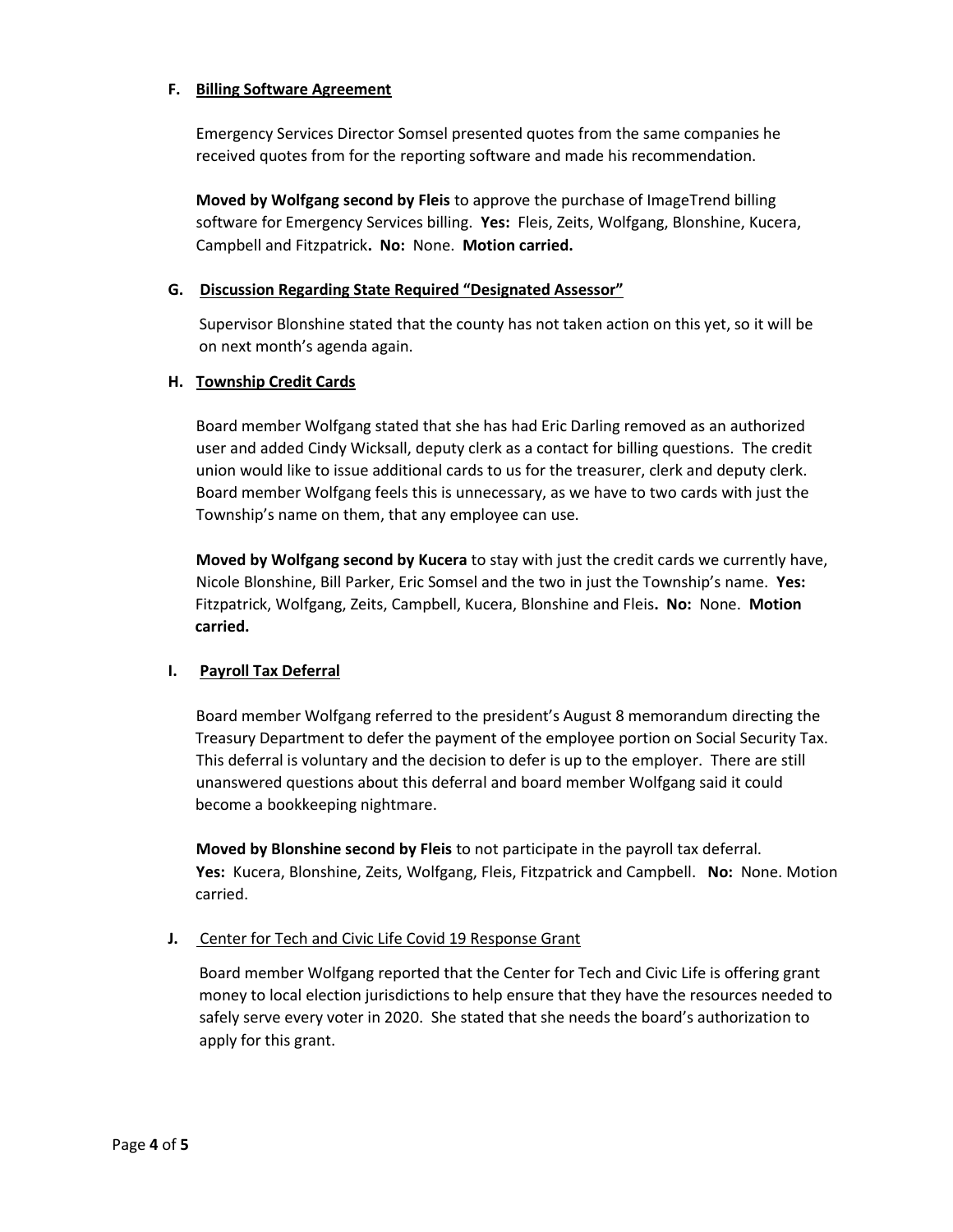# **F. Billing Software Agreement**

Emergency Services Director Somsel presented quotes from the same companies he received quotes from for the reporting software and made his recommendation.

**Moved by Wolfgang second by Fleis** to approve the purchase of ImageTrend billing software for Emergency Services billing. **Yes:** Fleis, Zeits, Wolfgang, Blonshine, Kucera, Campbell and Fitzpatrick**. No:** None. **Motion carried.**

### **G. Discussion Regarding State Required "Designated Assessor"**

 Supervisor Blonshine stated that the county has not taken action on this yet, so it will be on next month's agenda again.

### **H. Township Credit Cards**

Board member Wolfgang stated that she has had Eric Darling removed as an authorized user and added Cindy Wicksall, deputy clerk as a contact for billing questions. The credit union would like to issue additional cards to us for the treasurer, clerk and deputy clerk. Board member Wolfgang feels this is unnecessary, as we have to two cards with just the Township's name on them, that any employee can use.

**Moved by Wolfgang second by Kucera** to stay with just the credit cards we currently have, Nicole Blonshine, Bill Parker, Eric Somsel and the two in just the Township's name. **Yes:**  Fitzpatrick, Wolfgang, Zeits, Campbell, Kucera, Blonshine and Fleis**. No:** None. **Motion carried.**

# **I. Payroll Tax Deferral**

Board member Wolfgang referred to the president's August 8 memorandum directing the Treasury Department to defer the payment of the employee portion on Social Security Tax. This deferral is voluntary and the decision to defer is up to the employer. There are still unanswered questions about this deferral and board member Wolfgang said it could become a bookkeeping nightmare.

**Moved by Blonshine second by Fleis** to not participate in the payroll tax deferral. **Yes:** Kucera, Blonshine, Zeits, Wolfgang, Fleis, Fitzpatrick and Campbell. **No:** None. Motion carried.

### **J.** Center for Tech and Civic Life Covid 19 Response Grant

 Board member Wolfgang reported that the Center for Tech and Civic Life is offering grant money to local election jurisdictions to help ensure that they have the resources needed to safely serve every voter in 2020. She stated that she needs the board's authorization to apply for this grant.